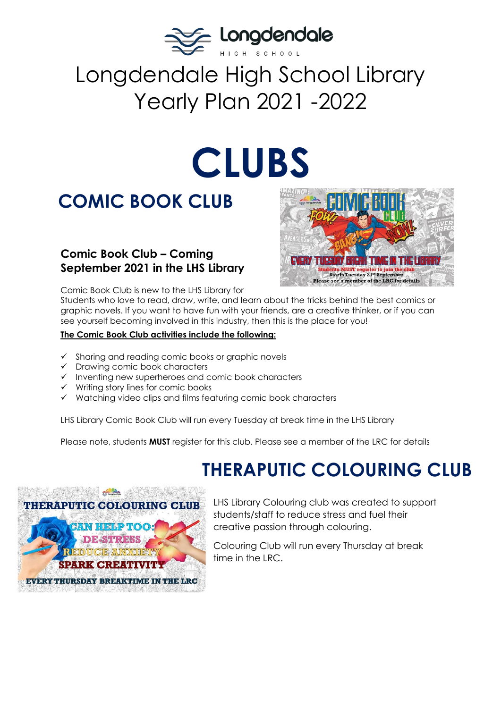

# Longdendale High School Library Yearly Plan 2021 -2022

# **CLUBS**

# **COMIC BOOK CLUB**

### **Comic Book Club – Coming September 2021 in the LHS Library**



Comic Book Club is new to the LHS Library for

Students who love to read, draw, write, and learn about the tricks behind the best comics or graphic novels. If you want to have fun with your friends, are a creative thinker, or if you can see yourself becoming involved in this industry, then this is the place for you!

#### **The Comic Book Club activities include the following:**

- ✓ Sharing and reading comic books or graphic novels
- ✓ Drawing comic book characters
- ✓ Inventing new superheroes and comic book characters
- ✓ Writing story lines for comic books
- ✓ Watching video clips and films featuring comic book characters

LHS Library Comic Book Club will run every Tuesday at break time in the LHS Library

Please note, students **MUST** register for this club. Please see a member of the LRC for details

# **THERAPUTIC COLOURING CLUB**



LHS Library Colouring club was created to support students/staff to reduce stress and fuel their creative passion through colouring.

Colouring Club will run every Thursday at break time in the LRC.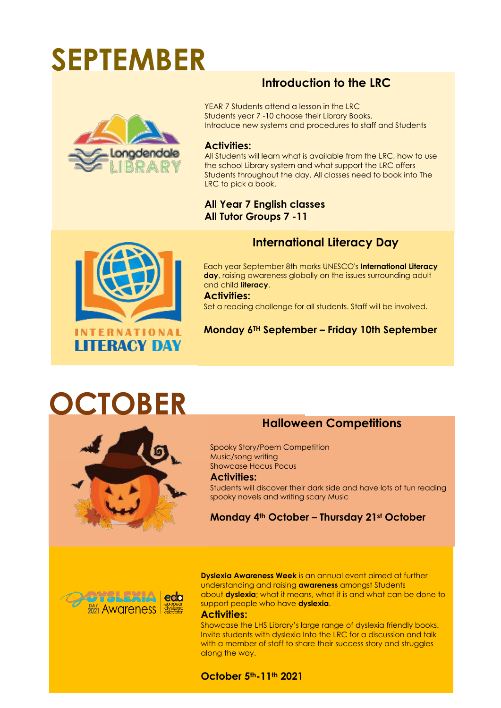# **SEPTEMBER**



### **Introduction to the LRC**

YEAR 7 Students attend a lesson in the LRC Students year 7 -10 choose their Library Books. Introduce new systems and procedures to staff and Students

#### **Activities:**

All Students will learn what is available from the LRC, how to use the school Library system and what support the LRC offers Students throughout the day. All classes need to book into The LRC to pick a book.

### **All Year 7 English classes All Tutor Groups 7 -11**



### **International Literacy Day**

Each year September 8th marks UNESCO's **International Literacy day**, raising awareness globally on the issues surrounding adult and child **literacy**.

**Activities:**  Set a reading challenge for all students. Staff will be involved.

### **Monday 6TH September – Friday 10th September**

# **OCTOBER**



### **Halloween Competitions**

Spooky Story/Poem Competition Music/song writing Showcase Hocus Pocus **Activities:** 

Students will discover their dark side and have lots of fun reading spooky novels and writing scary Music

### **Monday 4th October – Thursday 21st October**



**Dyslexia Awareness Week** is an annual event aimed at further understanding and raising **awareness** amongst Students about **dyslexia**; what it means, what it is and what can be done to support people who have **dyslexia**.

#### **Activities:**

Showcase the LHS Library's large range of dyslexia friendly books. Invite students with dyslexia Into the LRC for a discussion and talk with a member of staff to share their success story and struggles along the way.

#### **October 5th-11th 2021**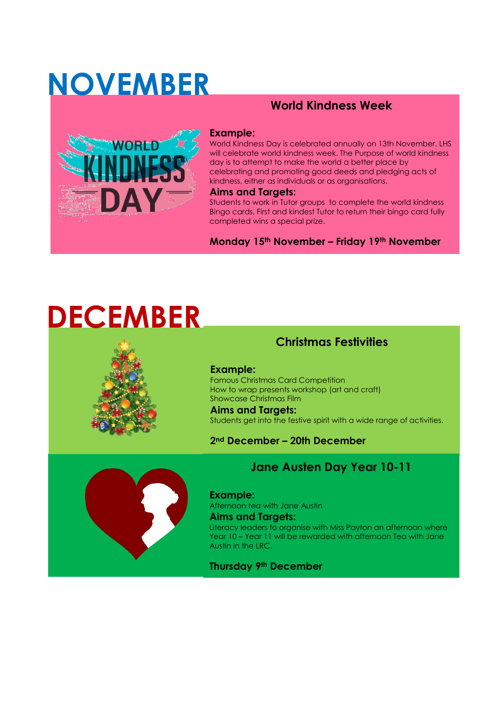# **NOVEMBER**

## **World Kindness Week**



#### **Example:**

World Kindness Day is celebrated annually on 13th November. LHS will celebrate world kindness week. The Purpose of world kindness day is to attempt to make the world a better place by celebrating and promoting good deeds and pledging acts of kindness, either as individuals or as organisations.

#### **Aims and Targets:**

Students to work in Tutor groups to complete the world kindness Bingo cards. First and kindest Tutor to return their bingo card fully completed wins a special prize.

**Monday 15th November – Friday 19th November**

# **DECEMBER**



### **Christmas Festivities**

**Example:** Famous Christmas Card Competition How to wrap presents workshop (art and craft) Showcase Christmas Film

### **Aims and Targets:**  Students get into the festive spirit with a wide range of activities.

**2nd December – 20th December** 



### **Jane Austen Day Year 10-11**

**Example:** Afternoon tea with Jane Austin **Aims and Targets:**  Literacy leaders to organise with Miss Payton an afternoon where Year 10 – Year 11 will be rewarded with afternoon Tea with Jane Austin in the LRC.

**Thursday 9th December**